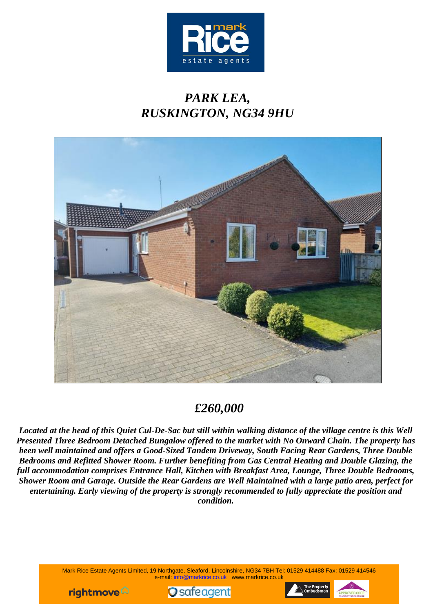

# *PARK LEA, RUSKINGTON, NG34 9HU*



# *£260,000*

*Located at the head of this Quiet Cul-De-Sac but still within walking distance of the village centre is this Well Presented Three Bedroom Detached Bungalow offered to the market with No Onward Chain. The property has been well maintained and offers a Good-Sized Tandem Driveway, South Facing Rear Gardens, Three Double Bedrooms and Refitted Shower Room. Further benefiting from Gas Central Heating and Double Glazing, the full accommodation comprises Entrance Hall, Kitchen with Breakfast Area, Lounge, Three Double Bedrooms, Shower Room and Garage. Outside the Rear Gardens are Well Maintained with a large patio area, perfect for entertaining. Early viewing of the property is strongly recommended to fully appreciate the position and condition.*

> Mark Rice Estate Agents Limited, 19 Northgate, Sleaford, Lincolnshire, NG34 7BH Tel: 01529 414488 Fax: 01529 414546 e-mail: [info@markrice.co.uk](mailto:info@markrice.co.uk) www.markrice.co.uk





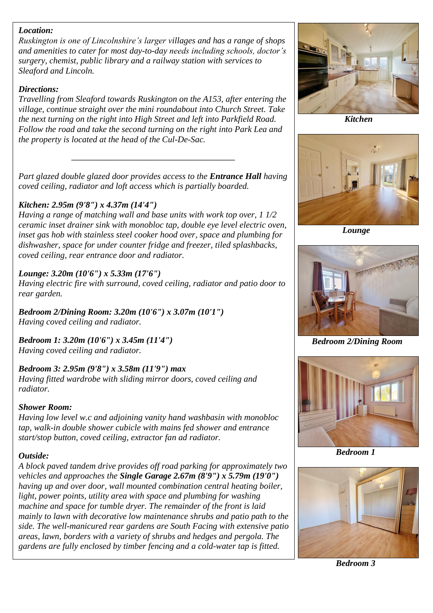## *Location:*

*Ruskington is one of Lincolnshire's larger villages and has a range of shops and amenities to cater for most day-to-day needs including schools, doctor's surgery, chemist, public library and a railway station with services to Sleaford and Lincoln.*

#### *Directions:*

*Travelling from Sleaford towards Ruskington on the A153, after entering the village, continue straight over the mini roundabout into Church Street. Take the next turning on the right into High Street and left into Parkfield Road. Follow the road and take the second turning on the right into Park Lea and the property is located at the head of the Cul-De-Sac.*

*Part glazed double glazed door provides access to the Entrance Hall having coved ceiling, radiator and loft access which is partially boarded.*

*\_\_\_\_\_\_\_\_\_\_\_\_\_\_\_\_\_\_\_\_\_\_\_\_\_\_\_\_\_\_\_\_\_\_\_\_\_\_\_\_\_\_\_\_\_*

## *Kitchen: 2.95m (9'8") x 4.37m (14'4")*

*Having a range of matching wall and base units with work top over, 1 1/2 ceramic inset drainer sink with monobloc tap, double eye level electric oven, inset gas hob with stainless steel cooker hood over, space and plumbing for dishwasher, space for under counter fridge and freezer, tiled splashbacks, coved ceiling, rear entrance door and radiator.*

## *Lounge: 3.20m (10'6") x 5.33m (17'6")*

*Having electric fire with surround, coved ceiling, radiator and patio door to rear garden.*

*Bedroom 2/Dining Room: 3.20m (10'6") x 3.07m (10'1") Having coved ceiling and radiator.*

*Bedroom 1: 3.20m (10'6") x 3.45m (11'4") Having coved ceiling and radiator.*

# *Bedroom 3: 2.95m (9'8") x 3.58m (11'9") max*

*Having fitted wardrobe with sliding mirror doors, coved ceiling and radiator.*

#### *Shower Room:*

*Having low level w.c and adjoining vanity hand washbasin with monobloc tap, walk-in double shower cubicle with mains fed shower and entrance start/stop button, coved ceiling, extractor fan ad radiator.*

#### *Outside:*

*A block paved tandem drive provides off road parking for approximately two vehicles and approaches the Single Garage 2.67m (8'9") x 5.79m (19'0") having up and over door, wall mounted combination central heating boiler, light, power points, utility area with space and plumbing for washing machine and space for tumble dryer. The remainder of the front is laid mainly to lawn with decorative low maintenance shrubs and patio path to the side. The well-manicured rear gardens are South Facing with extensive patio areas, lawn, borders with a variety of shrubs and hedges and pergola. The gardens are fully enclosed by timber fencing and a cold-water tap is fitted.*



 *Kitchen*



 *Lounge*



 *Bedroom 2/Dining Room*



 *Bedroom 1*



 *Bedroom 3*